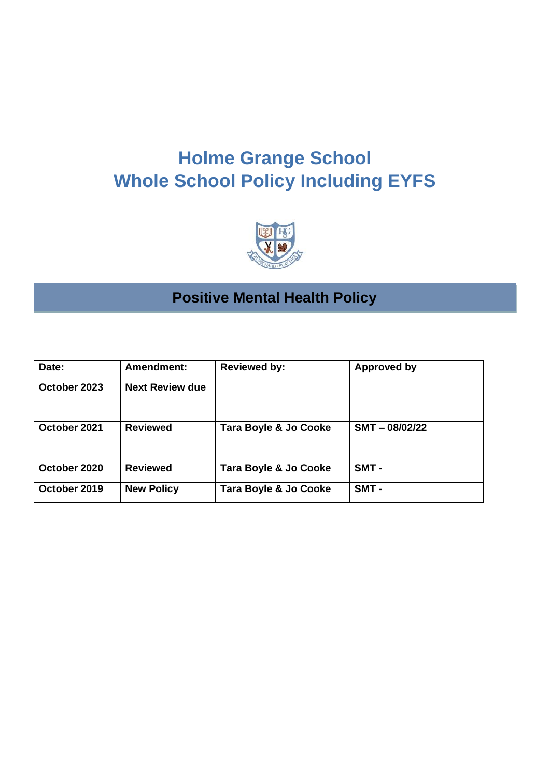# **Holme Grange School Whole School Policy Including EYFS**



# **Positive Mental Health Policy**

| Date:        | Amendment:             | <b>Reviewed by:</b>   | <b>Approved by</b> |
|--------------|------------------------|-----------------------|--------------------|
| October 2023 | <b>Next Review due</b> |                       |                    |
| October 2021 | <b>Reviewed</b>        | Tara Boyle & Jo Cooke | $SMT - 08/02/22$   |
| October 2020 | <b>Reviewed</b>        | Tara Boyle & Jo Cooke | SMT -              |
| October 2019 | <b>New Policy</b>      | Tara Boyle & Jo Cooke | SMT-               |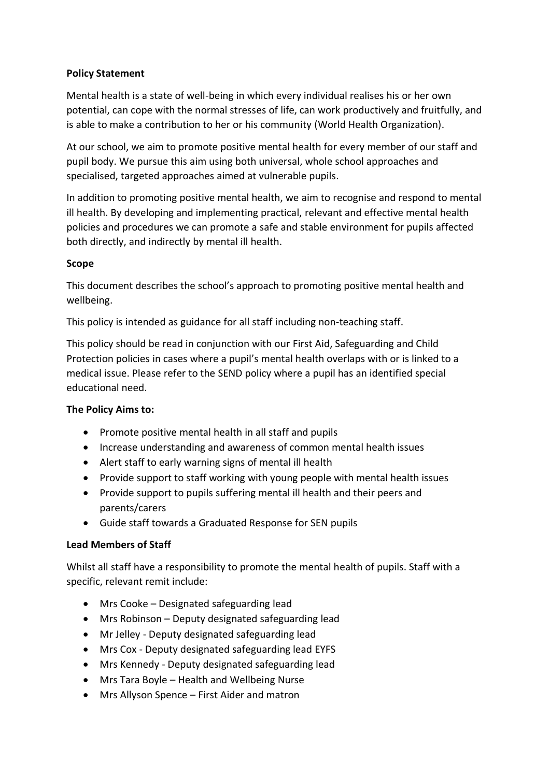# **Policy Statement**

Mental health is a state of well-being in which every individual realises his or her own potential, can cope with the normal stresses of life, can work productively and fruitfully, and is able to make a contribution to her or his community (World Health Organization).

At our school, we aim to promote positive mental health for every member of our staff and pupil body. We pursue this aim using both universal, whole school approaches and specialised, targeted approaches aimed at vulnerable pupils.

In addition to promoting positive mental health, we aim to recognise and respond to mental ill health. By developing and implementing practical, relevant and effective mental health policies and procedures we can promote a safe and stable environment for pupils affected both directly, and indirectly by mental ill health.

### **Scope**

This document describes the school's approach to promoting positive mental health and wellbeing.

This policy is intended as guidance for all staff including non-teaching staff.

This policy should be read in conjunction with our First Aid, Safeguarding and Child Protection policies in cases where a pupil's mental health overlaps with or is linked to a medical issue. Please refer to the SEND policy where a pupil has an identified special educational need.

# **The Policy Aims to:**

- Promote positive mental health in all staff and pupils
- Increase understanding and awareness of common mental health issues
- Alert staff to early warning signs of mental ill health
- Provide support to staff working with young people with mental health issues
- Provide support to pupils suffering mental ill health and their peers and parents/carers
- Guide staff towards a Graduated Response for SEN pupils

# **Lead Members of Staff**

Whilst all staff have a responsibility to promote the mental health of pupils. Staff with a specific, relevant remit include:

- Mrs Cooke Designated safeguarding lead
- Mrs Robinson Deputy designated safeguarding lead
- Mr Jelley Deputy designated safeguarding lead
- Mrs Cox Deputy designated safeguarding lead EYFS
- Mrs Kennedy Deputy designated safeguarding lead
- Mrs Tara Boyle Health and Wellbeing Nurse
- Mrs Allyson Spence First Aider and matron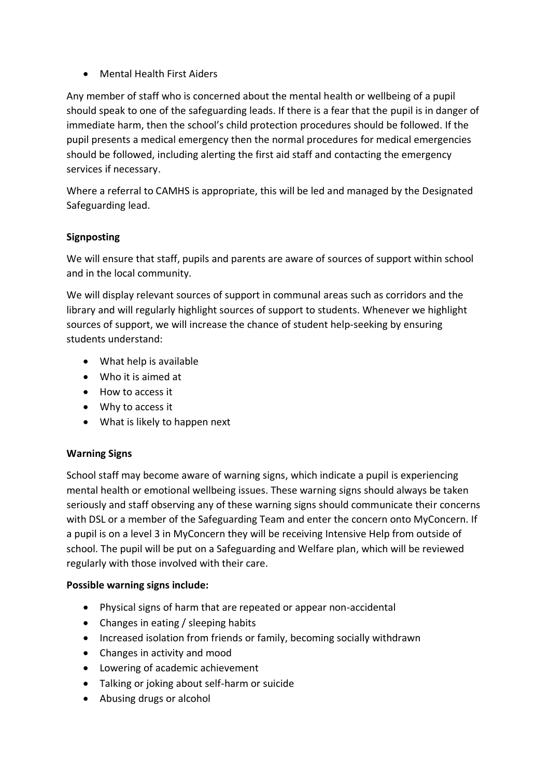• Mental Health First Aiders

Any member of staff who is concerned about the mental health or wellbeing of a pupil should speak to one of the safeguarding leads. If there is a fear that the pupil is in danger of immediate harm, then the school's child protection procedures should be followed. If the pupil presents a medical emergency then the normal procedures for medical emergencies should be followed, including alerting the first aid staff and contacting the emergency services if necessary.

Where a referral to CAMHS is appropriate, this will be led and managed by the Designated Safeguarding lead.

# **Signposting**

We will ensure that staff, pupils and parents are aware of sources of support within school and in the local community.

We will display relevant sources of support in communal areas such as corridors and the library and will regularly highlight sources of support to students. Whenever we highlight sources of support, we will increase the chance of student help-seeking by ensuring students understand:

- What help is available
- Who it is aimed at
- How to access it
- Why to access it
- What is likely to happen next

# **Warning Signs**

School staff may become aware of warning signs, which indicate a pupil is experiencing mental health or emotional wellbeing issues. These warning signs should always be taken seriously and staff observing any of these warning signs should communicate their concerns with DSL or a member of the Safeguarding Team and enter the concern onto MyConcern. If a pupil is on a level 3 in MyConcern they will be receiving Intensive Help from outside of school. The pupil will be put on a Safeguarding and Welfare plan, which will be reviewed regularly with those involved with their care.

# **Possible warning signs include:**

- Physical signs of harm that are repeated or appear non-accidental
- Changes in eating / sleeping habits
- Increased isolation from friends or family, becoming socially withdrawn
- Changes in activity and mood
- Lowering of academic achievement
- Talking or joking about self-harm or suicide
- Abusing drugs or alcohol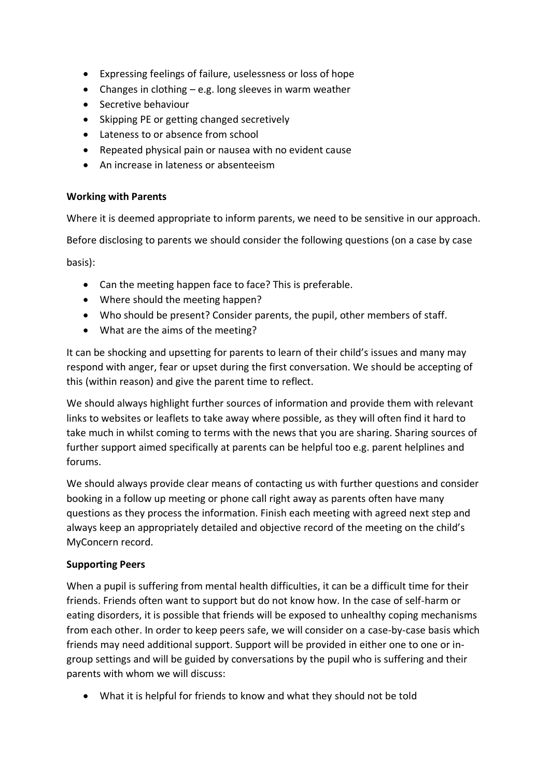- Expressing feelings of failure, uselessness or loss of hope
- Changes in clothing e.g. long sleeves in warm weather
- Secretive behaviour
- Skipping PE or getting changed secretively
- Lateness to or absence from school
- Repeated physical pain or nausea with no evident cause
- An increase in lateness or absenteeism

## **Working with Parents**

Where it is deemed appropriate to inform parents, we need to be sensitive in our approach.

Before disclosing to parents we should consider the following questions (on a case by case

basis):

- Can the meeting happen face to face? This is preferable.
- Where should the meeting happen?
- Who should be present? Consider parents, the pupil, other members of staff.
- What are the aims of the meeting?

It can be shocking and upsetting for parents to learn of their child's issues and many may respond with anger, fear or upset during the first conversation. We should be accepting of this (within reason) and give the parent time to reflect.

We should always highlight further sources of information and provide them with relevant links to websites or leaflets to take away where possible, as they will often find it hard to take much in whilst coming to terms with the news that you are sharing. Sharing sources of further support aimed specifically at parents can be helpful too e.g. parent helplines and forums.

We should always provide clear means of contacting us with further questions and consider booking in a follow up meeting or phone call right away as parents often have many questions as they process the information. Finish each meeting with agreed next step and always keep an appropriately detailed and objective record of the meeting on the child's MyConcern record.

# **Supporting Peers**

When a pupil is suffering from mental health difficulties, it can be a difficult time for their friends. Friends often want to support but do not know how. In the case of self-harm or eating disorders, it is possible that friends will be exposed to unhealthy coping mechanisms from each other. In order to keep peers safe, we will consider on a case-by-case basis which friends may need additional support. Support will be provided in either one to one or ingroup settings and will be guided by conversations by the pupil who is suffering and their parents with whom we will discuss:

• What it is helpful for friends to know and what they should not be told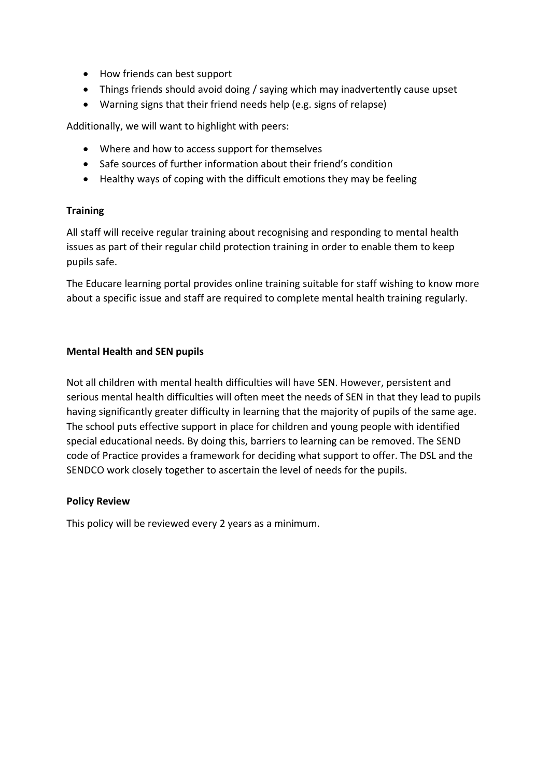- How friends can best support
- Things friends should avoid doing / saying which may inadvertently cause upset
- Warning signs that their friend needs help (e.g. signs of relapse)

Additionally, we will want to highlight with peers:

- Where and how to access support for themselves
- Safe sources of further information about their friend's condition
- Healthy ways of coping with the difficult emotions they may be feeling

### **Training**

All staff will receive regular training about recognising and responding to mental health issues as part of their regular child protection training in order to enable them to keep pupils safe.

The Educare learning portal provides online training suitable for staff wishing to know more about a specific issue and staff are required to complete mental health training regularly.

### **Mental Health and SEN pupils**

Not all children with mental health difficulties will have SEN. However, persistent and serious mental health difficulties will often meet the needs of SEN in that they lead to pupils having significantly greater difficulty in learning that the majority of pupils of the same age. The school puts effective support in place for children and young people with identified special educational needs. By doing this, barriers to learning can be removed. The SEND code of Practice provides a framework for deciding what support to offer. The DSL and the SENDCO work closely together to ascertain the level of needs for the pupils.

#### **Policy Review**

This policy will be reviewed every 2 years as a minimum.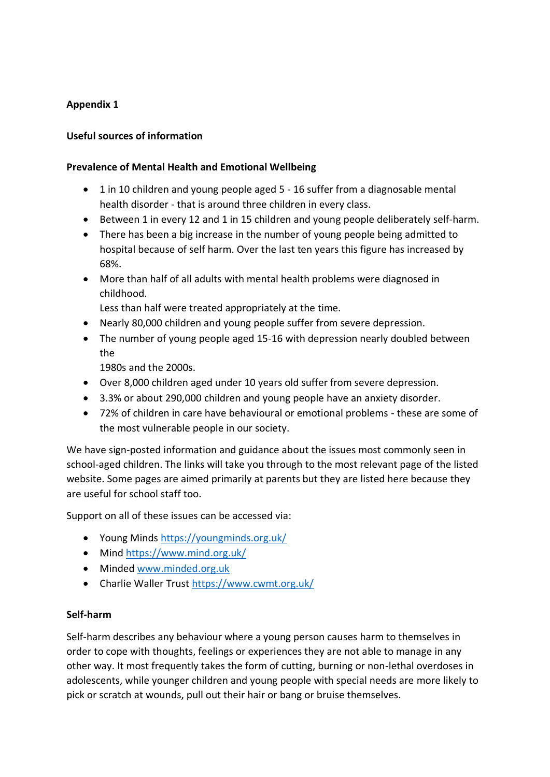# **Appendix 1**

## **Useful sources of information**

#### **Prevalence of Mental Health and Emotional Wellbeing**

- 1 in 10 children and young people aged 5 16 suffer from a diagnosable mental health disorder - that is around three children in every class.
- Between 1 in every 12 and 1 in 15 children and young people deliberately self-harm.
- There has been a big increase in the number of young people being admitted to hospital because of self harm. Over the last ten years this figure has increased by 68%.
- More than half of all adults with mental health problems were diagnosed in childhood.

Less than half were treated appropriately at the time.

- Nearly 80,000 children and young people suffer from severe depression.
- The number of young people aged 15-16 with depression nearly doubled between the

1980s and the 2000s.

- Over 8,000 children aged under 10 years old suffer from severe depression.
- 3.3% or about 290,000 children and young people have an anxiety disorder.
- 72% of children in care have behavioural or emotional problems these are some of the most vulnerable people in our society.

We have sign-posted information and guidance about the issues most commonly seen in school-aged children. The links will take you through to the most relevant page of the listed website. Some pages are aimed primarily at parents but they are listed here because they are useful for school staff too.

Support on all of these issues can be accessed via:

- Young Minds<https://youngminds.org.uk/>
- Mind<https://www.mind.org.uk/>
- Minded [www.minded.org.uk](http://www.minded.org.uk/)
- Charlie Waller Trust<https://www.cwmt.org.uk/>

#### **Self-harm**

Self-harm describes any behaviour where a young person causes harm to themselves in order to cope with thoughts, feelings or experiences they are not able to manage in any other way. It most frequently takes the form of cutting, burning or non-lethal overdoses in adolescents, while younger children and young people with special needs are more likely to pick or scratch at wounds, pull out their hair or bang or bruise themselves.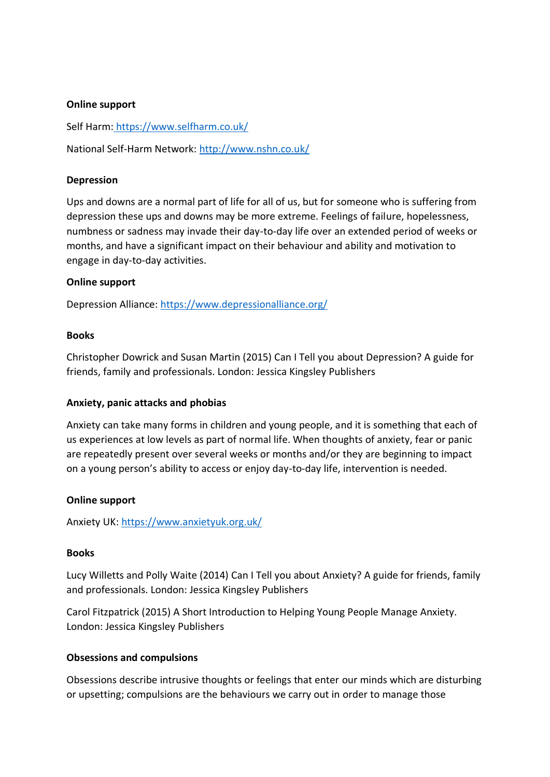#### **Online support**

Self Harm: <https://www.selfharm.co.uk/>

National Self-Harm Network:<http://www.nshn.co.uk/>

#### **Depression**

Ups and downs are a normal part of life for all of us, but for someone who is suffering from depression these ups and downs may be more extreme. Feelings of failure, hopelessness, numbness or sadness may invade their day-to-day life over an extended period of weeks or months, and have a significant impact on their behaviour and ability and motivation to engage in day-to-day activities.

### **Online support**

Depression Alliance:<https://www.depressionalliance.org/>

#### **Books**

Christopher Dowrick and Susan Martin (2015) Can I Tell you about Depression? A guide for friends, family and professionals. London: Jessica Kingsley Publishers

#### **Anxiety, panic attacks and phobias**

Anxiety can take many forms in children and young people, and it is something that each of us experiences at low levels as part of normal life. When thoughts of anxiety, fear or panic are repeatedly present over several weeks or months and/or they are beginning to impact on a young person's ability to access or enjoy day-to-day life, intervention is needed.

#### **Online support**

Anxiety UK:<https://www.anxietyuk.org.uk/>

#### **Books**

Lucy Willetts and Polly Waite (2014) Can I Tell you about Anxiety? A guide for friends, family and professionals. London: Jessica Kingsley Publishers

Carol Fitzpatrick (2015) A Short Introduction to Helping Young People Manage Anxiety. London: Jessica Kingsley Publishers

#### **Obsessions and compulsions**

Obsessions describe intrusive thoughts or feelings that enter our minds which are disturbing or upsetting; compulsions are the behaviours we carry out in order to manage those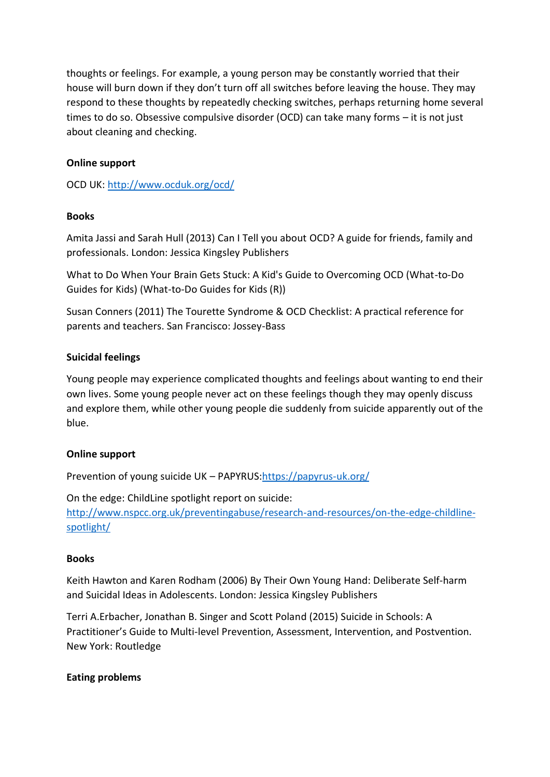thoughts or feelings. For example, a young person may be constantly worried that their house will burn down if they don't turn off all switches before leaving the house. They may respond to these thoughts by repeatedly checking switches, perhaps returning home several times to do so. Obsessive compulsive disorder (OCD) can take many forms – it is not just about cleaning and checking.

# **Online support**

OCD UK:<http://www.ocduk.org/ocd/>

# **Books**

Amita Jassi and Sarah Hull (2013) Can I Tell you about OCD? A guide for friends, family and professionals. London: Jessica Kingsley Publishers

What to Do When Your Brain Gets Stuck: A Kid's Guide to Overcoming OCD (What-to-Do Guides for Kids) (What-to-Do Guides for Kids (R))

Susan Conners (2011) The Tourette Syndrome & OCD Checklist: A practical reference for parents and teachers. San Francisco: Jossey-Bass

# **Suicidal feelings**

Young people may experience complicated thoughts and feelings about wanting to end their own lives. Some young people never act on these feelings though they may openly discuss and explore them, while other young people die suddenly from suicide apparently out of the blue.

# **Online support**

Prevention of young suicide UK - PAPYRUS: https://papyrus-uk.org/

On the edge: ChildLine spotlight report on suicide: [http://www.nspcc.org.uk/preventingabuse/research-and-resources/on-the-edge-childline](http://www.nspcc.org.uk/preventingabuse/research-and-resources/on-the-edge-childline-spotlight/)[spotlight/](http://www.nspcc.org.uk/preventingabuse/research-and-resources/on-the-edge-childline-spotlight/)

#### **Books**

Keith Hawton and Karen Rodham (2006) By Their Own Young Hand: Deliberate Self-harm and Suicidal Ideas in Adolescents. London: Jessica Kingsley Publishers

Terri A.Erbacher, Jonathan B. Singer and Scott Poland (2015) Suicide in Schools: A Practitioner's Guide to Multi-level Prevention, Assessment, Intervention, and Postvention. New York: Routledge

#### **Eating problems**